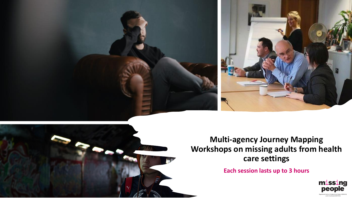



**Multi-agency Journey Mapping Workshops on missing adults from health care settings** 

**Each session lasts up to 3 hours**

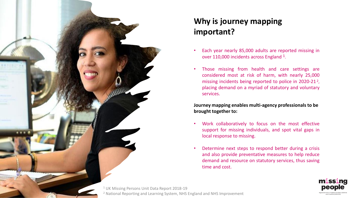

### **Why is journey mapping important?**

- Each year nearly 85,000 adults are reported missing in over 110,000 incidents across England 1.
- Those missing from health and care settings are considered most at risk of harm, with nearly 25,000 missing incidents being reported to police in 2020-21<sup>2</sup>, placing demand on a myriad of statutory and voluntary services.

**Journey mapping enables multi-agency professionals to be brought together to:**

- Work collaboratively to focus on the most effective support for missing individuals, and spot vital gaps in local response to missing.
- Determine next steps to respond better during a crisis and also provide preventative measures to help reduce demand and resource on statutory services, thus saving time and cost.

**missing** people

<sup>1</sup> UK Missing Persons Unit Data Report 2018-19 <sup>2</sup> National Reporting and Learning System, NHS England and NHS Improvement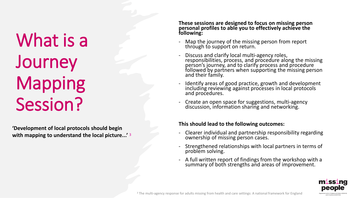# What is a **Journey** Mapping Session?

**'Development of local protocols should begin with mapping to understand the local picture...'** <sup>3</sup>

#### **These sessions are designed to focus on missing person personal profiles to able you to effectively achieve the following:**

- Map the journey of the missing person from report through to support on return.
- Discuss and clarify local multi-agency roles, responsibilities, process, and procedure along the missing person's journey, and to clarify process and procedure followed by partners when supporting the missing person and their family.
- Identify areas of good practice, growth and development including reviewing against processes in local protocols and procedures.
- Create an open space for suggestions, multi-agency discussion, information sharing and networking.

#### **This should lead to the following outcomes:**

- Clearer individual and partnership responsibility regarding ownership of missing person cases.
- Strengthened relationships with local partners in terms of problem solving.
- A full written report of findings from the workshop with a summary of both strengths and areas of improvement.

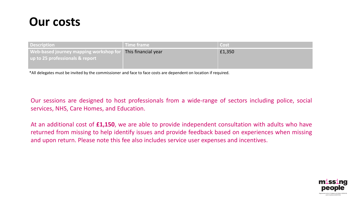## **Our costs**

| <b>Description</b>                            | Time frame          | Cost   |
|-----------------------------------------------|---------------------|--------|
| <b>Web-based journey mapping workshop for</b> | This financial year | £1,350 |
| up to 25 professionals & report               |                     |        |
|                                               |                     |        |

\*All delegates must be invited by the commissioner and face to face costs are dependent on location if required.

Our sessions are designed to host professionals from a wide-range of sectors including police, social services, NHS, Care Homes, and Education.

At an additional cost of **£1,150**, we are able to provide independent consultation with adults who have returned from missing to help identify issues and provide feedback based on experiences when missing and upon return. Please note this fee also includes service user expenses and incentives.